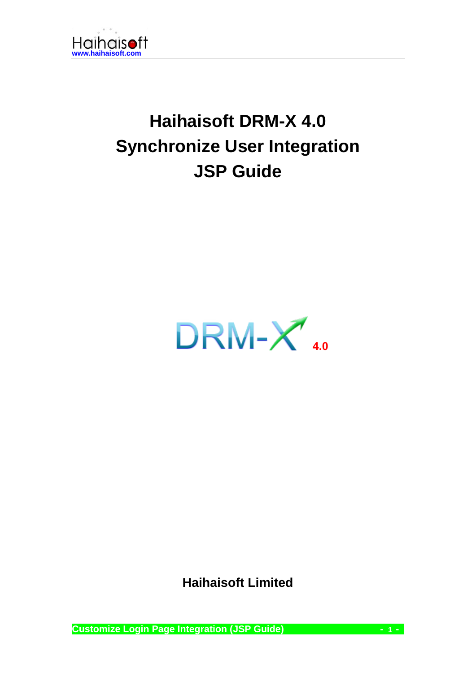

# **Haihaisoft DRM-X 4.0 Synchronize User Integration JSP Guide**



**Haihaisoft Limited**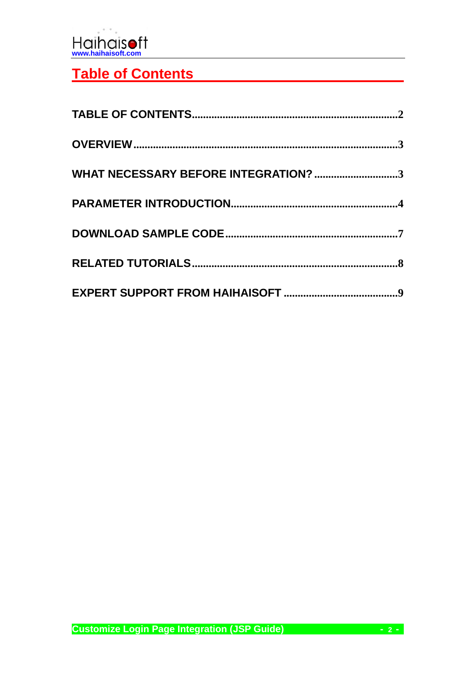

### <span id="page-1-0"></span>**Table of Contents**

| WHAT NECESSARY BEFORE INTEGRATION? 3 |  |
|--------------------------------------|--|
|                                      |  |
|                                      |  |
|                                      |  |
|                                      |  |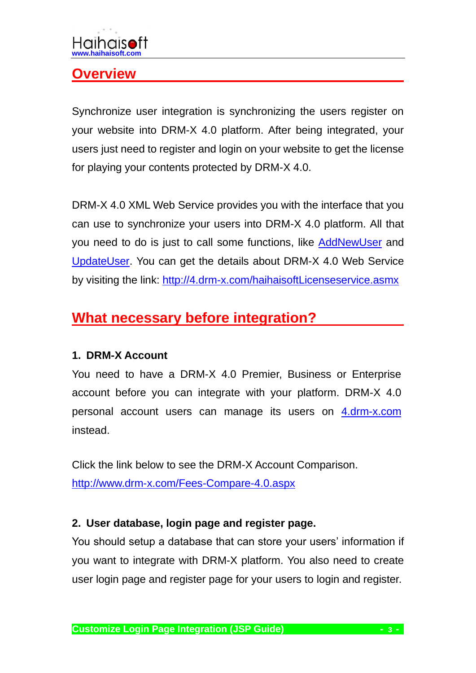#### <span id="page-2-0"></span>**Overview**

Synchronize user integration is synchronizing the users register on your website into DRM-X 4.0 platform. After being integrated, your users just need to register and login on your website to get the license for playing your contents protected by DRM-X 4.0.

DRM-X 4.0 XML Web Service provides you with the interface that you can use to synchronize your users into DRM-X 4.0 platform. All that you need to do is just to call some functions, like **AddNewUser** and [UpdateUser.](http://4.drm-x.com/haihaisoftLicenseservice.asmx?op=UpdateUser) You can get the details about DRM-X 4.0 Web Service by visiting the link: <http://4.drm-x.com/haihaisoftLicenseservice.asmx>

### <span id="page-2-1"></span>**What necessary before integration?**

#### **1. DRM-X Account**

You need to have a DRM-X 4.0 Premier, Business or Enterprise account before you can integrate with your platform. DRM-X 4.0 personal account users can manage its users on [4.drm-x.com](http://4.drm-x.com/) instead.

Click the link below to see the DRM-X Account Comparison. <http://www.drm-x.com/Fees-Compare-4.0.aspx>

#### **2. User database, login page and register page.**

You should setup a database that can store your users' information if you want to integrate with DRM-X platform. You also need to create user login page and register page for your users to login and register.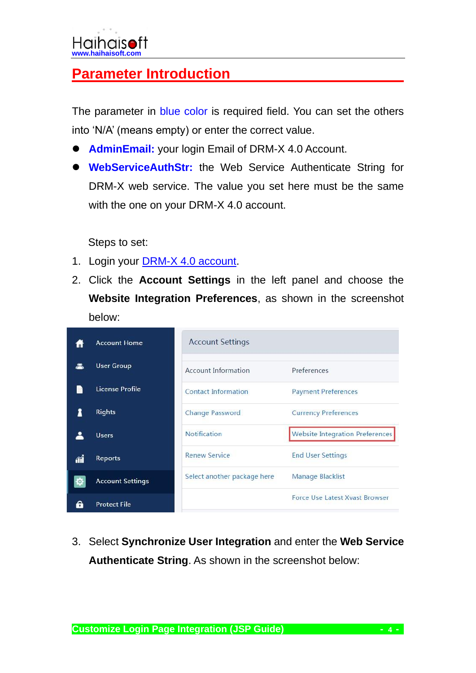## <span id="page-3-0"></span>**Parameter Introduction**

The parameter in blue color is required field. You can set the others into 'N/A' (means empty) or enter the correct value.

- ⚫ **AdminEmail:** your login Email of DRM-X 4.0 Account.
- ⚫ **WebServiceAuthStr:** the Web Service Authenticate String for DRM-X web service. The value you set here must be the same with the one on your DRM-X 4.0 account.

Steps to set:

- 1. Login your [DRM-X 4.0 account.](http://4.drm-x.com/login.aspx)
- 2. Click the **Account Settings** in the left panel and choose the **Website Integration Preferences**, as shown in the screenshot below:



3. Select **Synchronize User Integration** and enter the **Web Service Authenticate String**. As shown in the screenshot below: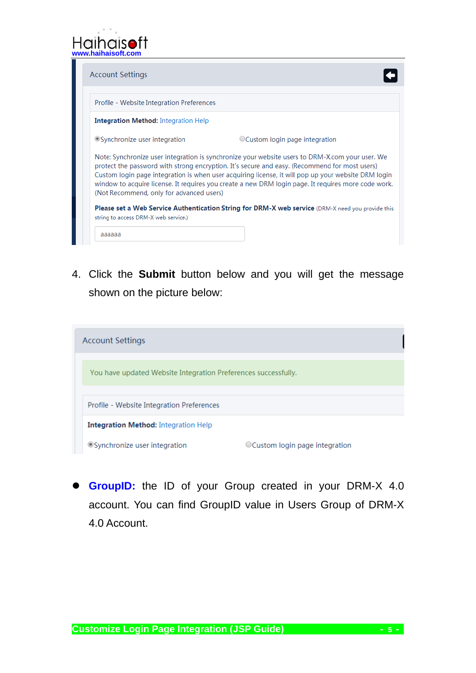

| <b>Account Settings</b>                     |                                                                                                                                                                                                                                                                                                                                                                                                                |
|---------------------------------------------|----------------------------------------------------------------------------------------------------------------------------------------------------------------------------------------------------------------------------------------------------------------------------------------------------------------------------------------------------------------------------------------------------------------|
| Profile - Website Integration Preferences   |                                                                                                                                                                                                                                                                                                                                                                                                                |
| <b>Integration Method:</b> Integration Help |                                                                                                                                                                                                                                                                                                                                                                                                                |
| ● Synchronize user integration              | ○ Custom login page integration                                                                                                                                                                                                                                                                                                                                                                                |
| (Not Recommend, only for advanced users)    | Note: Synchronize user integration is synchronize your website users to DRM-X.com your user. We<br>protect the password with strong encryption. It's secure and easy. (Recommend for most users)<br>Custom login page integration is when user acquiring license, it will pop up your website DRM login<br>window to acquire license. It requires you create a new DRM login page. It requires more code work. |
| string to access DRM-X web service.)        | <b>Please set a Web Service Authentication String for DRM-X web service</b> (DRM-X need you provide this                                                                                                                                                                                                                                                                                                       |
| aaaaaa                                      |                                                                                                                                                                                                                                                                                                                                                                                                                |

4. Click the **Submit** button below and you will get the message shown on the picture below:

| <b>Account Settings</b>                                        |                                 |  |  |  |
|----------------------------------------------------------------|---------------------------------|--|--|--|
| You have updated Website Integration Preferences successfully. |                                 |  |  |  |
|                                                                |                                 |  |  |  |
| Profile - Website Integration Preferences                      |                                 |  |  |  |
| <b>Integration Method: Integration Help</b>                    |                                 |  |  |  |
| ● Synchronize user integration                                 | ○ Custom login page integration |  |  |  |

⚫ **GroupID:** the ID of your Group created in your DRM-X 4.0 account. You can find GroupID value in Users Group of DRM-X 4.0 Account.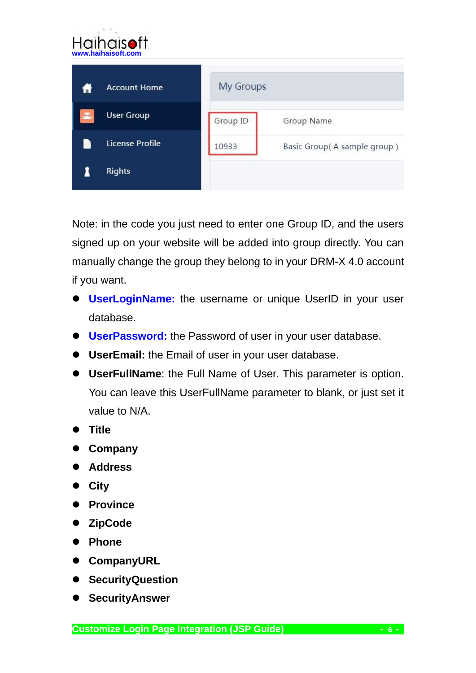| Haihaisoft<br>www.haihaisoft.com |                  |                             |  |
|----------------------------------|------------------|-----------------------------|--|
| <b>Account Home</b>              | <b>My Groups</b> |                             |  |
| <b>User Group</b>                | Group ID         | Group Name                  |  |
| <b>License Profile</b>           | 10933            | Basic Group(A sample group) |  |
| <b>Rights</b>                    |                  |                             |  |

Note: in the code you just need to enter one Group ID, and the users signed up on your website will be added into group directly. You can manually change the group they belong to in your DRM-X 4.0 account if you want.

- ⚫ **UserLoginName:** the username or unique UserID in your user database.
- ⚫ **UserPassword:** the Password of user in your user database.
- ⚫ **UserEmail:** the Email of user in your user database.
- ⚫ **UserFullName**: the Full Name of User. This parameter is option. You can leave this UserFullName parameter to blank, or just set it value to N/A.
- ⚫ **Title**
- ⚫ **Company**
- ⚫ **Address**
- ⚫ **City**
- ⚫ **Province**
- ⚫ **ZipCode**
- ⚫ **Phone**
- ⚫ **CompanyURL**
- ⚫ **SecurityQuestion**
- ⚫ **SecurityAnswer**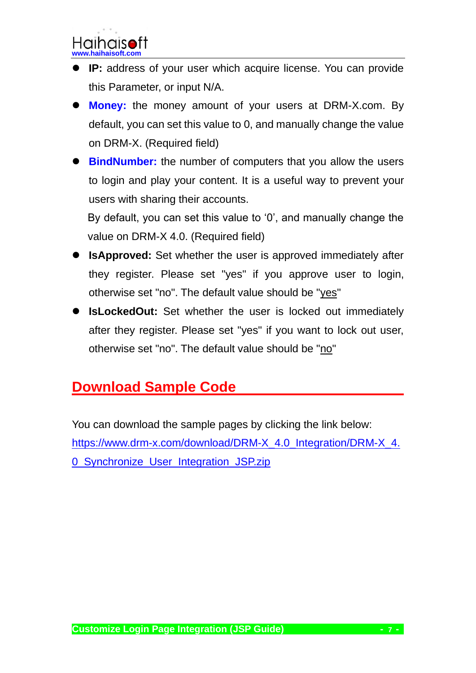- ⚫ **IP:** address of your user which acquire license. You can provide this Parameter, or input N/A.
- ⚫ **Money:** the money amount of your users at DRM-X.com. By default, you can set this value to 0, and manually change the value on DRM-X. (Required field)
- ⚫ **BindNumber:** the number of computers that you allow the users to login and play your content. It is a useful way to prevent your users with sharing their accounts.

By default, you can set this value to '0', and manually change the value on DRM-X 4.0. (Required field)

- ⚫ **IsApproved:** Set whether the user is approved immediately after they register. Please set "yes" if you approve user to login, otherwise set "no". The default value should be "yes"
- ⚫ **IsLockedOut:** Set whether the user is locked out immediately after they register. Please set "yes" if you want to lock out user, otherwise set "no". The default value should be "no"

# <span id="page-6-0"></span>**Download Sample Code**

You can download the sample pages by clicking the link below: [https://www.drm-x.com/download/DRM-X\\_4.0\\_Integration/DRM-X\\_4.](https://www.drm-x.com/download/DRM-X_4.0_Integration/DRM-X_4.0_Synchronize_User_Integration_JSP.zip) [0\\_Synchronize\\_User\\_Integration\\_JSP.zip](https://www.drm-x.com/download/DRM-X_4.0_Integration/DRM-X_4.0_Synchronize_User_Integration_JSP.zip)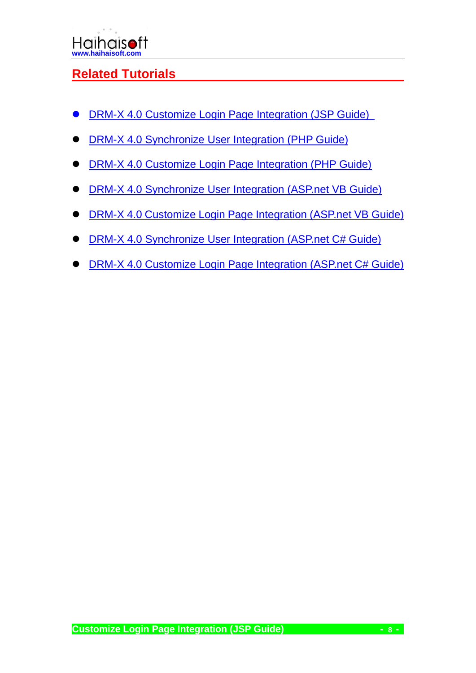#### <span id="page-7-0"></span>**Related Tutorials**

- ⚫ [DRM-X 4.0 Customize Login Page Integration \(JSP Guide\)](https://www.drm-x.com/download/DRM-X_4.0_Integration/DRM-X_4.0_Custom_Login_Page_Integration_JSP.pdf)
- ⚫ [DRM-X 4.0 Synchronize User Integration \(PHP Guide\)](https://www.drm-x.com/download/DRM-X_4.0_Integration/DRM-X_4.0_Synchronize_User_Integration_PHP.pdf)
- ⚫ [DRM-X 4.0 Customize Login Page Integration \(PHP Guide\)](https://www.drm-x.com/download/DRM-X4.0_Custom_Login_Page_Integration_PHP.pdf)
- **[DRM-X 4.0 Synchronize User Integration \(ASP.net VB Guide\)](https://www.drm-x.com/download/DRM-X_4.0_Integration/DRM-X_4.0_Synchronize_User_Integration_VB.pdf)**
- ⚫ [DRM-X 4.0 Customize Login Page Integration \(ASP.net VB Guide\)](https://www.drm-x.com/download/DRM-X_4.0_Integration/DRM-X_4.0_Custom_Login_Page_Integration_VB.pdf)
- ⚫ [DRM-X 4.0 Synchronize User Integration \(ASP.net C# Guide\)](https://www.drm-x.com/download/DRM-X_4.0_Integration/DRM-X_4.0_Synchronize_User_Integration_C.pdf)
- ⚫ [DRM-X 4.0 Customize Login Page Integration \(ASP.net C# Guide\)](https://www.drm-x.com/download/DRM-X_4.0_Integration/DRM-X_4.0_Custom_Login_Page_Integration_C.pdf)